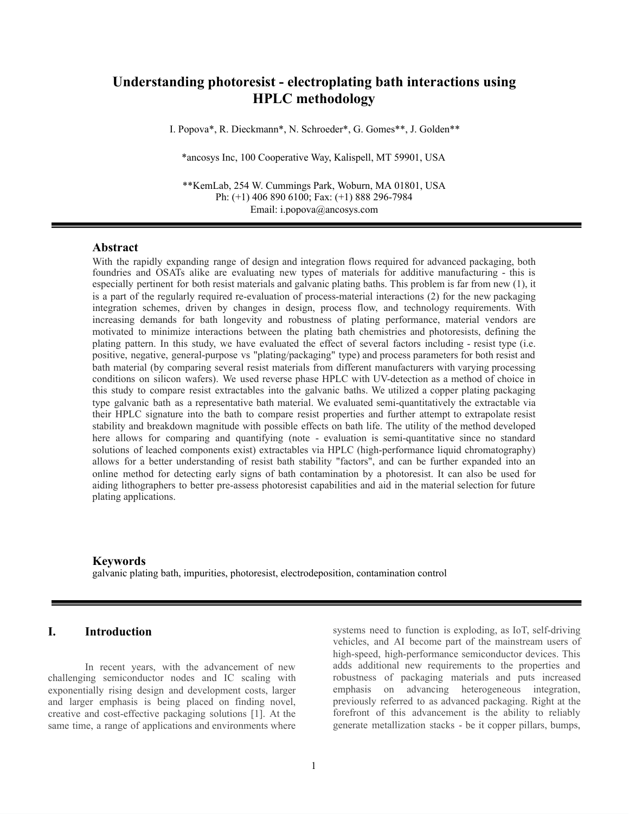# **Understanding photoresist - electroplating bath interactions using HPLC methodology**

I. Popova\*, R. Dieckmann\*, N. Schroeder\*, G. Gomes\*\*, J. Golden\*\*

\*ancosys Inc, 100 Cooperative Way, Kalispell, MT 59901, USA

\*\*KemLab, 254 W. Cummings Park, Woburn, MA 01801, USA Ph: (+1) 406 890 6100; Fax: (+1) 888 296-7984 Email: i.popova@ancosys.com

## **Abstract**

With the rapidly expanding range of design and integration flows required for advanced packaging, both foundries and OSATs alike are evaluating new types of materials for additive manufacturing - this is especially pertinent for both resist materials and galvanic plating baths. This problem is far from new (1), it is a part of the regularly required re-evaluation of process-material interactions (2) for the new packaging integration schemes, driven by changes in design, process flow, and technology requirements. With increasing demands for bath longevity and robustness of plating performance, material vendors are motivated to minimize interactions between the plating bath chemistries and photoresists, defining the plating pattern. In this study, we have evaluated the effect of several factors including - resist type (i.e. positive, negative, general-purpose vs "plating/packaging" type) and process parameters for both resist and bath material (by comparing several resist materials from different manufacturers with varying processing conditions on silicon wafers). We used reverse phase HPLC with UV-detection as a method of choice in this study to compare resist extractables into the galvanic baths. We utilized a copper plating packaging type galvanic bath as a representative bath material. We evaluated semi-quantitatively the extractable via their HPLC signature into the bath to compare resist properties and further attempt to extrapolate resist stability and breakdown magnitude with possible effects on bath life. The utility of the method developed here allows for comparing and quantifying (note - evaluation is semi-quantitative since no standard solutions of leached components exist) extractables via HPLC (high-performance liquid chromatography) allows for a better understanding of resist bath stability "factors", and can be further expanded into an online method for detecting early signs of bath contamination by a photoresist. It can also be used for aiding lithographers to better pre-assess photoresist capabilities and aid in the material selection for future plating applications.

#### **Keywords**

galvanic plating bath, impurities, photoresist, electrodeposition, contamination control

## **I. Introduction**

In recent years, with the advancement of new challenging semiconductor nodes and IC scaling with exponentially rising design and development costs, larger and larger emphasis is being placed on finding novel, creative and cost-effective packaging solutions [1]. At the same time, a range of applications and environments where systems need to function is exploding, as IoT, self-driving vehicles, and AI become part of the mainstream users of high-speed, high-performance semiconductor devices. This adds additional new requirements to the properties and robustness of packaging materials and puts increased emphasis on advancing heterogeneous integration, previously referred to as advanced packaging. Right at the forefront of this advancement is the ability to reliably generate metallization stacks - be it copper pillars, bumps,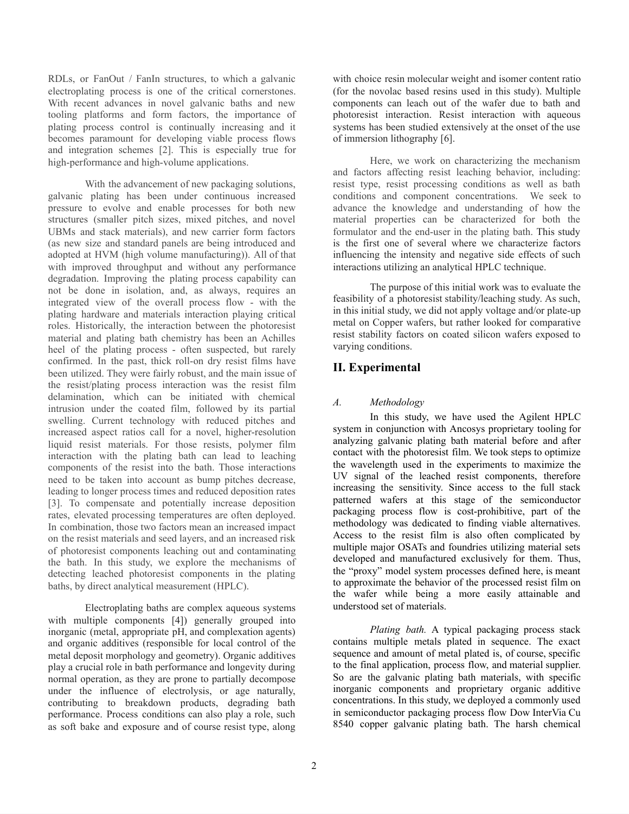RDLs, or FanOut / FanIn structures, to which a galvanic electroplating process is one of the critical cornerstones. With recent advances in novel galvanic baths and new tooling platforms and form factors, the importance of plating process control is continually increasing and it becomes paramount for developing viable process flows and integration schemes [2]. This is especially true for high-performance and high-volume applications.

With the advancement of new packaging solutions, galvanic plating has been under continuous increased pressure to evolve and enable processes for both new structures (smaller pitch sizes, mixed pitches, and novel UBMs and stack materials), and new carrier form factors (as new size and standard panels are being introduced and adopted at HVM (high volume manufacturing)). All of that with improved throughput and without any performance degradation. Improving the plating process capability can not be done in isolation, and, as always, requires an integrated view of the overall process flow - with the plating hardware and materials interaction playing critical roles. Historically, the interaction between the photoresist material and plating bath chemistry has been an Achilles heel of the plating process - often suspected, but rarely confirmed. In the past, thick roll-on dry resist films have been utilized. They were fairly robust, and the main issue of the resist/plating process interaction was the resist film delamination, which can be initiated with chemical intrusion under the coated film, followed by its partial swelling. Current technology with reduced pitches and increased aspect ratios call for a novel, higher-resolution liquid resist materials. For those resists, polymer film interaction with the plating bath can lead to leaching components of the resist into the bath. Those interactions need to be taken into account as bump pitches decrease, leading to longer process times and reduced deposition rates [3]. To compensate and potentially increase deposition rates, elevated processing temperatures are often deployed. In combination, those two factors mean an increased impact on the resist materials and seed layers, and an increased risk of photoresist components leaching out and contaminating the bath. In this study, we explore the mechanisms of detecting leached photoresist components in the plating baths, by direct analytical measurement (HPLC).

Electroplating baths are complex aqueous systems with multiple components [4]) generally grouped into inorganic (metal, appropriate pH, and complexation agents) and organic additives (responsible for local control of the metal deposit morphology and geometry). Organic additives play a crucial role in bath performance and longevity during normal operation, as they are prone to partially decompose under the influence of electrolysis, or age naturally, contributing to breakdown products, degrading bath performance. Process conditions can also play a role, such as soft bake and exposure and of course resist type, along with choice resin molecular weight and isomer content ratio (for the novolac based resins used in this study). Multiple components can leach out of the wafer due to bath and photoresist interaction. Resist interaction with aqueous systems has been studied extensively at the onset of the use of immersion lithography [6].

Here, we work on characterizing the mechanism and factors affecting resist leaching behavior, including: resist type, resist processing conditions as well as bath conditions and component concentrations. We seek to advance the knowledge and understanding of how the material properties can be characterized for both the formulator and the end-user in the plating bath. This study is the first one of several where we characterize factors influencing the intensity and negative side effects of such interactions utilizing an analytical HPLC technique.

The purpose of this initial work was to evaluate the feasibility of a photoresist stability/leaching study. As such, in this initial study, we did not apply voltage and/or plate-up metal on Copper wafers, but rather looked for comparative resist stability factors on coated silicon wafers exposed to varying conditions.

## **II. Experimental**

## *A. Methodology*

In this study, we have used the Agilent HPLC system in conjunction with Ancosys proprietary tooling for analyzing galvanic plating bath material before and after contact with the photoresist film. We took steps to optimize the wavelength used in the experiments to maximize the UV signal of the leached resist components, therefore increasing the sensitivity. Since access to the full stack patterned wafers at this stage of the semiconductor packaging process flow is cost-prohibitive, part of the methodology was dedicated to finding viable alternatives. Access to the resist film is also often complicated by multiple major OSATs and foundries utilizing material sets developed and manufactured exclusively for them. Thus, the "proxy" model system processes defined here, is meant to approximate the behavior of the processed resist film on the wafer while being a more easily attainable and understood set of materials.

*Plating bath.* A typical packaging process stack contains multiple metals plated in sequence. The exact sequence and amount of metal plated is, of course, specific to the final application, process flow, and material supplier. So are the galvanic plating bath materials, with specific inorganic components and proprietary organic additive concentrations. In this study, we deployed a commonly used in semiconductor packaging process flow Dow InterVia Cu 8540 copper galvanic plating bath. The harsh chemical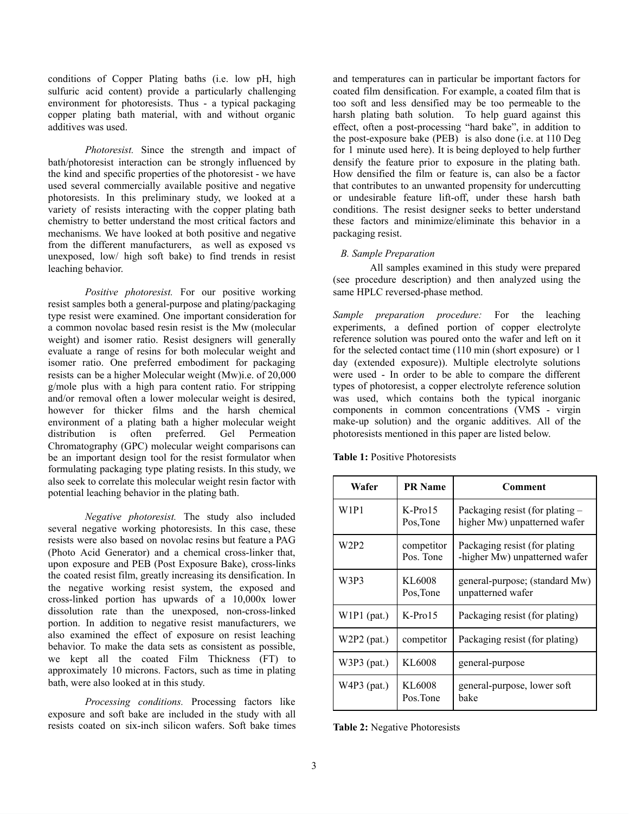conditions of Copper Plating baths (i.e. low pH, high sulfuric acid content) provide a particularly challenging environment for photoresists. Thus - a typical packaging copper plating bath material, with and without organic additives was used.

*Photoresist.* Since the strength and impact of bath/photoresist interaction can be strongly influenced by the kind and specific properties of the photoresist - we have used several commercially available positive and negative photoresists. In this preliminary study, we looked at a variety of resists interacting with the copper plating bath chemistry to better understand the most critical factors and mechanisms. We have looked at both positive and negative from the different manufacturers, as well as exposed vs unexposed, low/ high soft bake) to find trends in resist leaching behavior.

*Positive photoresist.* For our positive working resist samples both a general-purpose and plating/packaging type resist were examined. One important consideration for a common novolac based resin resist is the Mw (molecular weight) and isomer ratio. Resist designers will generally evaluate a range of resins for both molecular weight and isomer ratio. One preferred embodiment for packaging resists can be a higher Molecular weight (Mw)i.e. of 20,000 g/mole plus with a high para content ratio. For stripping and/or removal often a lower molecular weight is desired, however for thicker films and the harsh chemical environment of a plating bath a higher molecular weight distribution is often preferred. Gel Permeation Chromatography (GPC) molecular weight comparisons can be an important design tool for the resist formulator when formulating packaging type plating resists. In this study, we also seek to correlate this molecular weight resin factor with potential leaching behavior in the plating bath.

*Negative photoresist.* The study also included several negative working photoresists. In this case, these resists were also based on novolac resins but feature a PAG (Photo Acid Generator) and a chemical cross-linker that, upon exposure and PEB (Post Exposure Bake), cross-links the coated resist film, greatly increasing its densification. In the negative working resist system, the exposed and cross-linked portion has upwards of a 10,000x lower dissolution rate than the unexposed, non-cross-linked portion. In addition to negative resist manufacturers, we also examined the effect of exposure on resist leaching behavior. To make the data sets as consistent as possible, we kept all the coated Film Thickness (FT) to approximately 10 microns. Factors, such as time in plating bath, were also looked at in this study.

*Processing conditions.* Processing factors like exposure and soft bake are included in the study with all resists coated on six-inch silicon wafers. Soft bake times

and temperatures can in particular be important factors for coated film densification. For example, a coated film that is too soft and less densified may be too permeable to the harsh plating bath solution. To help guard against this effect, often a post-processing "hard bake", in addition to the post-exposure bake (PEB) is also done (i.e. at 110 Deg for 1 minute used here). It is being deployed to help further densify the feature prior to exposure in the plating bath. How densified the film or feature is, can also be a factor that contributes to an unwanted propensity for undercutting or undesirable feature lift-off, under these harsh bath conditions. The resist designer seeks to better understand these factors and minimize/eliminate this behavior in a packaging resist.

## *B. Sample Preparation*

All samples examined in this study were prepared (see procedure description) and then analyzed using the same HPLC reversed-phase method.

*Sample preparation procedure:* For the leaching experiments, a defined portion of copper electrolyte reference solution was poured onto the wafer and left on it for the selected contact time (110 min (short exposure) or 1 day (extended exposure)). Multiple electrolyte solutions were used - In order to be able to compare the different types of photoresist, a copper electrolyte reference solution was used, which contains both the typical inorganic components in common concentrations (VMS - virgin make-up solution) and the organic additives. All of the photoresists mentioned in this paper are listed below.

**Table 1:** Positive Photoresists

| Wafer         | <b>PR</b> Name          | Comment                                                         |
|---------------|-------------------------|-----------------------------------------------------------------|
| W1P1          | $K-Pro15$<br>Pos, Tone  | Packaging resist (for plating -<br>higher Mw) unpatterned wafer |
| W2P2          | competitor<br>Pos. Tone | Packaging resist (for plating<br>-higher Mw) unpatterned wafer  |
| W3P3          | KL6008<br>Pos, Tone     | general-purpose; (standard Mw)<br>unpatterned wafer             |
| $W1P1$ (pat.) | $K-Pro15$               | Packaging resist (for plating)                                  |
| $W2P2$ (pat.) | competitor              | Packaging resist (for plating)                                  |
| $W3P3$ (pat.) | KL6008                  | general-purpose                                                 |
| $W4P3$ (pat.) | KL6008<br>Pos.Tone      | general-purpose, lower soft<br>bake                             |

**Table 2:** Negative Photoresists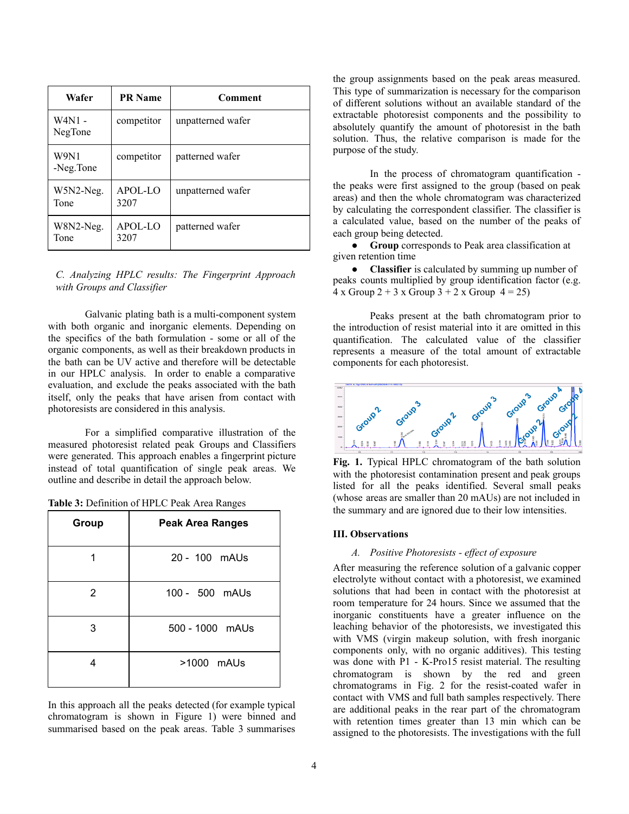| Wafer               | <b>PR</b> Name  | Comment           |
|---------------------|-----------------|-------------------|
| W4N1 -<br>NegTone   | competitor      | unpatterned wafer |
| W9N1<br>-Neg.Tone   | competitor      | patterned wafer   |
| $W5N2-Neg.$<br>Tone | APOL-LO<br>3207 | unpatterned wafer |
| W8N2-Neg.<br>Tone   | APOL-LO<br>3207 | patterned wafer   |

*C. Analyzing HPLC results: The Fingerprint Approach with Groups and Classifier*

Galvanic plating bath is a multi-component system with both organic and inorganic elements. Depending on the specifics of the bath formulation - some or all of the organic components, as well as their breakdown products in the bath can be UV active and therefore will be detectable in our HPLC analysis. In order to enable a comparative evaluation, and exclude the peaks associated with the bath itself, only the peaks that have arisen from contact with photoresists are considered in this analysis.

For a simplified comparative illustration of the measured photoresist related peak Groups and Classifiers were generated. This approach enables a fingerprint picture instead of total quantification of single peak areas. We outline and describe in detail the approach below.

|  |  | Table 3: Definition of HPLC Peak Area Ranges |  |  |
|--|--|----------------------------------------------|--|--|
|--|--|----------------------------------------------|--|--|

| Group | <b>Peak Area Ranges</b> |
|-------|-------------------------|
|       | 20 - 100 mAUs           |
| 2     | 100 - 500 mAUs          |
| 3     | 500 - 1000 mAUs         |
| 4     | >1000 mAUs              |

In this approach all the peaks detected (for example typical chromatogram is shown in Figure 1) were binned and summarised based on the peak areas. Table 3 summarises the group assignments based on the peak areas measured. This type of summarization is necessary for the comparison of different solutions without an available standard of the extractable photoresist components and the possibility to absolutely quantify the amount of photoresist in the bath solution. Thus, the relative comparison is made for the purpose of the study.

In the process of chromatogram quantification the peaks were first assigned to the group (based on peak areas) and then the whole chromatogram was characterized by calculating the correspondent classifier. The classifier is a calculated value, based on the number of the peaks of each group being detected.

● **Group** corresponds to Peak area classification at given retention time

**Classifier** is calculated by summing up number of peaks counts multiplied by group identification factor (e.g.  $4 \times$  Group  $2 + 3 \times$  Group  $3 + 2 \times$  Group  $4 = 25$ )

Peaks present at the bath chromatogram prior to the introduction of resist material into it are omitted in this quantification. The calculated value of the classifier represents a measure of the total amount of extractable components for each photoresist.



**Fig. 1.** Typical HPLC chromatogram of the bath solution with the photoresist contamination present and peak groups listed for all the peaks identified. Several small peaks (whose areas are smaller than 20 mAUs) are not included in the summary and are ignored due to their low intensities.

#### **III. Observations**

#### *A. Positive Photoresists - ef ect of exposure*

After measuring the reference solution of a galvanic copper electrolyte without contact with a photoresist, we examined solutions that had been in contact with the photoresist at room temperature for 24 hours. Since we assumed that the inorganic constituents have a greater influence on the leaching behavior of the photoresists, we investigated this with VMS (virgin makeup solution, with fresh inorganic components only, with no organic additives). This testing was done with P1 - K-Pro15 resist material. The resulting chromatogram is shown by the red and green chromatograms in Fig. 2 for the resist-coated wafer in contact with VMS and full bath samples respectively. There are additional peaks in the rear part of the chromatogram with retention times greater than 13 min which can be assigned to the photoresists. The investigations with the full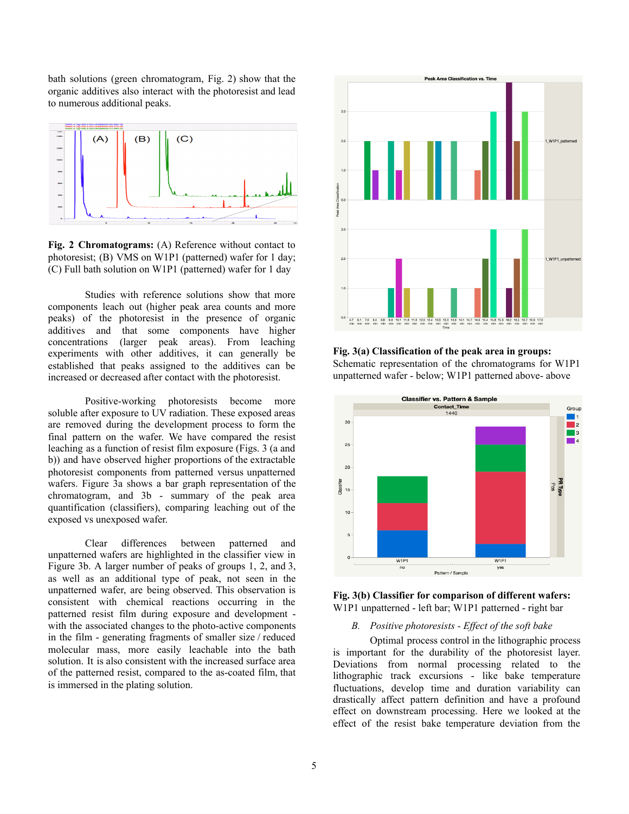bath solutions (green chromatogram, Fig. 2) show that the organic additives also interact with the photoresist and lead to numerous additional peaks.



**Fig. 2 Chromatograms:** (A) Reference without contact to photoresist; (B) VMS on W1P1 (patterned) wafer for 1 day; (C) Full bath solution on W1P1 (patterned) wafer for 1 day

Studies with reference solutions show that more components leach out (higher peak area counts and more peaks) of the photoresist in the presence of organic additives and that some components have higher concentrations (larger peak areas). From leaching experiments with other additives, it can generally be established that peaks assigned to the additives can be increased or decreased after contact with the photoresist.

Positive-working photoresists become more soluble after exposure to UV radiation. These exposed areas are removed during the development process to form the final pattern on the wafer. We have compared the resist leaching as a function of resist film exposure (Figs. 3 (a and b)) and have observed higher proportions of the extractable photoresist components from patterned versus unpatterned wafers. Figure 3a shows a bar graph representation of the chromatogram, and 3b - summary of the peak area quantification (classifiers), comparing leaching out of the exposed vs unexposed wafer.

Clear differences between patterned and unpatterned wafers are highlighted in the classifier view in Figure 3b. A larger number of peaks of groups 1, 2, and 3, as well as an additional type of peak, not seen in the unpatterned wafer, are being observed. This observation is consistent with chemical reactions occurring in the patterned resist film during exposure and development with the associated changes to the photo-active components in the film - generating fragments of smaller size / reduced molecular mass, more easily leachable into the bath solution. It is also consistent with the increased surface area of the patterned resist, compared to the as-coated film, that is immersed in the plating solution.



**Fig. 3(a) Classification of the peak area in groups:** Schematic representation of the chromatograms for W1P1 unpatterned wafer - below; W1P1 patterned above- above



#### **Fig. 3(b) Classifier for comparison of different wafers:** W1P1 unpatterned - left bar; W1P1 patterned - right bar

#### *B. Positive photoresists - Ef ect of the soft bake*

Optimal process control in the lithographic process is important for the durability of the photoresist layer. Deviations from normal processing related to the lithographic track excursions - like bake temperature fluctuations, develop time and duration variability can drastically affect pattern definition and have a profound effect on downstream processing. Here we looked at the effect of the resist bake temperature deviation from the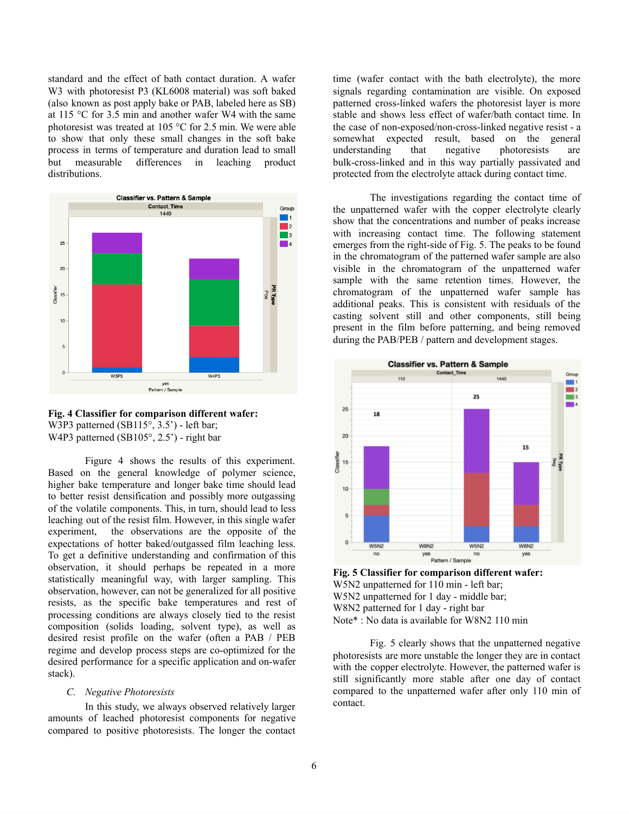standard and the effect of bath contact duration. A wafer W3 with photoresist P3 (KL6008 material) was soft baked (also known as post apply bake or PAB, labeled here as SB) at 115 °C for 3.5 min and another wafer W4 with the same photoresist was treated at 105 °C for 2.5 min. We were able to show that only these small changes in the soft bake process in terms of temperature and duration lead to small but measurable differences in leaching product distributions.



**Fig. 4 Classifier for comparison different wafer:** W3P3 patterned (SB115°, 3.5') - left bar; W4P3 patterned (SB105°, 2.5') - right bar

Figure 4 shows the results of this experiment. Based on the general knowledge of polymer science, higher bake temperature and longer bake time should lead to better resist densification and possibly more outgassing of the volatile components. This, in turn, should lead to less leaching out of the resist film. However, in this single wafer experiment, the observations are the opposite of the expectations of hotter baked/outgassed film leaching less. To get a definitive understanding and confirmation of this observation, it should perhaps be repeated in a more statistically meaningful way, with larger sampling. This observation, however, can not be generalized for all positive resists, as the specific bake temperatures and rest of processing conditions are always closely tied to the resist composition (solids loading, solvent type), as well as desired resist profile on the wafer (often a PAB / PEB regime and develop process steps are co-optimized for the desired performance for a specific application and on-wafer stack).

#### *C. Negative Photoresists*

In this study, we always observed relatively larger amounts of leached photoresist components for negative compared to positive photoresists. The longer the contact time (wafer contact with the bath electrolyte), the more signals regarding contamination are visible. On exposed patterned cross-linked wafers the photoresist layer is more stable and shows less effect of wafer/bath contact time. In the case of non-exposed/non-cross-linked negative resist - a somewhat expected result, based on the general understanding that negative photoresists are bulk-cross-linked and in this way partially passivated and protected from the electrolyte attack during contact time.

The investigations regarding the contact time of the unpatterned wafer with the copper electrolyte clearly show that the concentrations and number of peaks increase with increasing contact time. The following statement emerges from the right-side of Fig. 5. The peaks to be found in the chromatogram of the patterned wafer sample are also visible in the chromatogram of the unpatterned wafer sample with the same retention times. However, the chromatogram of the unpatterned wafer sample has additional peaks. This is consistent with residuals of the casting solvent still and other components, still being present in the film before patterning, and being removed during the PAB/PEB / pattern and development stages.



**Fig. 5 Classifier for comparison different wafer:** W5N2 unpatterned for 110 min - left bar; W5N2 unpatterned for 1 day - middle bar; W8N2 patterned for 1 day - right bar Note\* : No data is available for W8N2 110 min

Fig. 5 clearly shows that the unpatterned negative photoresists are more unstable the longer they are in contact with the copper electrolyte. However, the patterned wafer is still significantly more stable after one day of contact compared to the unpatterned wafer after only 110 min of contact.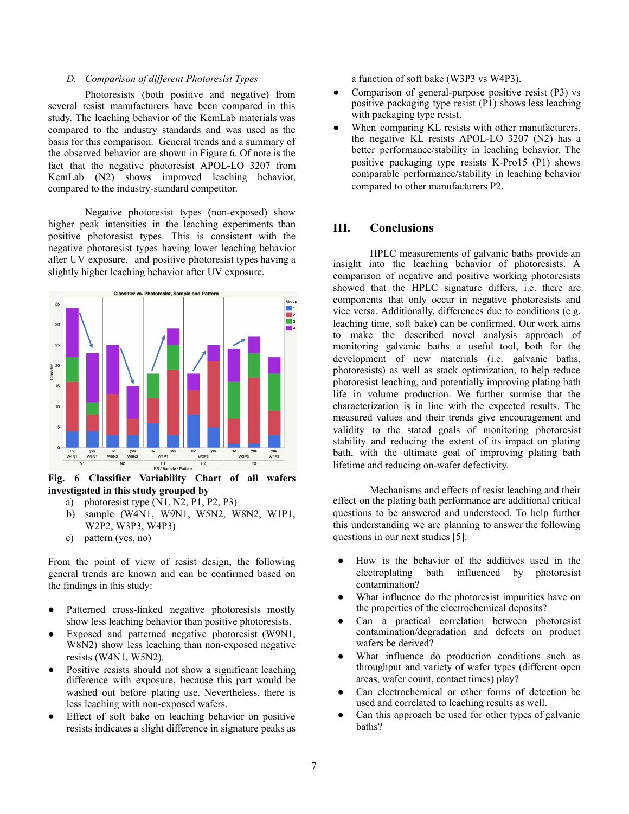## *D. Comparison of dif erent Photoresist Types*

Photoresists (both positive and negative) from several resist manufacturers have been compared in this study. The leaching behavior of the KemLab materials was compared to the industry standards and was used as the basis for this comparison. General trends and a summary of the observed behavior are shown in Figure 6. Of note is the fact that the negative photoresist APOL-LO 3207 from KemLab (N2) shows improved leaching behavior, compared to the industry-standard competitor.

Negative photoresist types (non-exposed) show higher peak intensities in the leaching experiments than positive photoresist types. This is consistent with the negative photoresist types having lower leaching behavior after UV exposure, and positive photoresist types having a slightly higher leaching behavior after UV exposure.



**Fig. 6 Classifier Variability Chart of all wafers investigated in this study grouped by**

- a) photoresist type (N1, N2, P1, P2, P3)
- b) sample (W4N1, W9N1, W5N2, W8N2, W1P1, W2P2, W3P3, W4P3)
- c) pattern (yes, no)

From the point of view of resist design, the following general trends are known and can be confirmed based on the findings in this study:

- Patterned cross-linked negative photoresists mostly show less leaching behavior than positive photoresists.
- Exposed and patterned negative photoresist (W9N1, W8N2) show less leaching than non-exposed negative resists (W4N1, W5N2).
- Positive resists should not show a significant leaching difference with exposure, because this part would be washed out before plating use. Nevertheless, there is less leaching with non-exposed wafers.
- Effect of soft bake on leaching behavior on positive resists indicates a slight difference in signature peaks as

a function of soft bake (W3P3 vs W4P3).

- Comparison of general-purpose positive resist (P3) vs positive packaging type resist (P1) shows less leaching with packaging type resist.
- When comparing KL resists with other manufacturers, the negative KL resists APOL-LO 3207 (N2) has a better performance/stability in leaching behavior. The positive packaging type resists K-Pro15 (P1) shows comparable performance/stability in leaching behavior compared to other manufacturers P2.

## **III. Conclusions**

HPLC measurements of galvanic baths provide an insight into the leaching behavior of photoresists. A comparison of negative and positive working photoresists showed that the HPLC signature differs, i.e. there are components that only occur in negative photoresists and vice versa. Additionally, differences due to conditions (e.g. leaching time, soft bake) can be confirmed. Our work aims to make the described novel analysis approach of monitoring galvanic baths a useful tool, both for the development of new materials (i.e. galvanic baths, photoresists) as well as stack optimization, to help reduce photoresist leaching, and potentially improving plating bath life in volume production. We further surmise that the characterization is in line with the expected results. The measured values and their trends give encouragement and validity to the stated goals of monitoring photoresist stability and reducing the extent of its impact on plating bath, with the ultimate goal of improving plating bath lifetime and reducing on-wafer defectivity.

Mechanisms and effects of resist leaching and their effect on the plating bath performance are additional critical questions to be answered and understood. To help further this understanding we are planning to answer the following questions in our next studies [5]:

- How is the behavior of the additives used in the electroplating bath influenced by photoresist contamination?
- What influence do the photoresist impurities have on the properties of the electrochemical deposits?
- Can a practical correlation between photoresist contamination/degradation and defects on product wafers be derived?
- What influence do production conditions such as throughput and variety of wafer types (different open areas, wafer count, contact times) play?
- Can electrochemical or other forms of detection be used and correlated to leaching results as well.
- Can this approach be used for other types of galvanic baths?